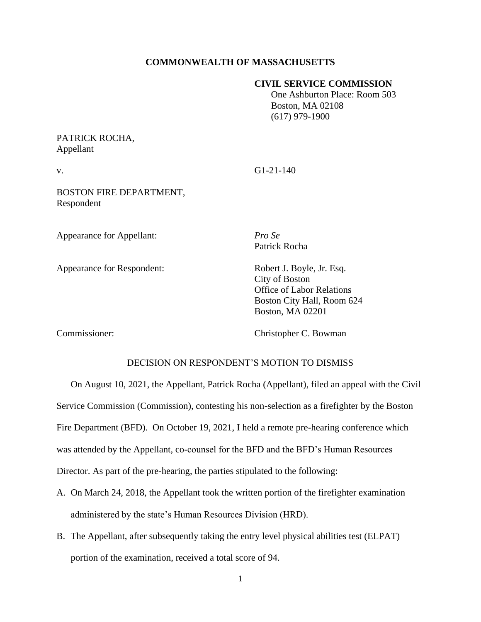#### **COMMONWEALTH OF MASSACHUSETTS**

#### **CIVIL SERVICE COMMISSION**

 One Ashburton Place: Room 503 Boston, MA 02108 (617) 979-1900

# PATRICK ROCHA, Appellant

v. G1-21-140

BOSTON FIRE DEPARTMENT, Respondent

Appearance for Appellant: *Pro Se*

Appearance for Respondent: Robert J. Boyle, Jr. Esq.

Patrick Rocha

City of Boston Office of Labor Relations Boston City Hall, Room 624 Boston, MA 02201

Commissioner: Christopher C. Bowman

## DECISION ON RESPONDENT'S MOTION TO DISMISS

On August 10, 2021, the Appellant, Patrick Rocha (Appellant), filed an appeal with the Civil Service Commission (Commission), contesting his non-selection as a firefighter by the Boston Fire Department (BFD). On October 19, 2021, I held a remote pre-hearing conference which was attended by the Appellant, co-counsel for the BFD and the BFD's Human Resources Director. As part of the pre-hearing, the parties stipulated to the following:

- A. On March 24, 2018, the Appellant took the written portion of the firefighter examination administered by the state's Human Resources Division (HRD).
- B. The Appellant, after subsequently taking the entry level physical abilities test (ELPAT) portion of the examination, received a total score of 94.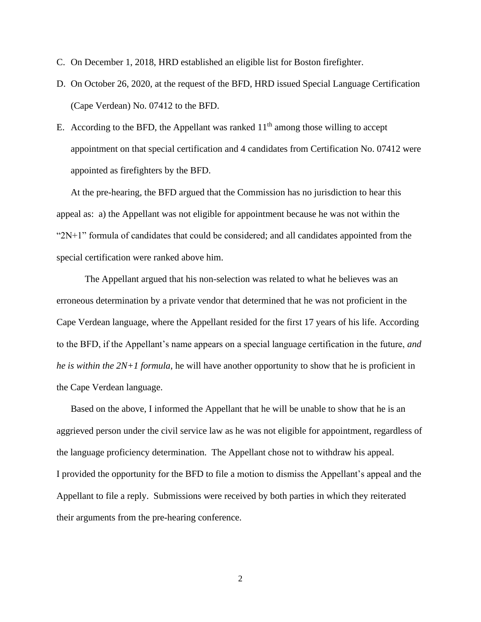- C. On December 1, 2018, HRD established an eligible list for Boston firefighter.
- D. On October 26, 2020, at the request of the BFD, HRD issued Special Language Certification (Cape Verdean) No. 07412 to the BFD.
- E. According to the BFD, the Appellant was ranked  $11<sup>th</sup>$  among those willing to accept appointment on that special certification and 4 candidates from Certification No. 07412 were appointed as firefighters by the BFD.

At the pre-hearing, the BFD argued that the Commission has no jurisdiction to hear this appeal as: a) the Appellant was not eligible for appointment because he was not within the " $2N+1$ " formula of candidates that could be considered; and all candidates appointed from the special certification were ranked above him.

The Appellant argued that his non-selection was related to what he believes was an erroneous determination by a private vendor that determined that he was not proficient in the Cape Verdean language, where the Appellant resided for the first 17 years of his life. According to the BFD, if the Appellant's name appears on a special language certification in the future, *and he is within the 2N+1 formula*, he will have another opportunity to show that he is proficient in the Cape Verdean language.

Based on the above, I informed the Appellant that he will be unable to show that he is an aggrieved person under the civil service law as he was not eligible for appointment, regardless of the language proficiency determination. The Appellant chose not to withdraw his appeal. I provided the opportunity for the BFD to file a motion to dismiss the Appellant's appeal and the Appellant to file a reply. Submissions were received by both parties in which they reiterated their arguments from the pre-hearing conference.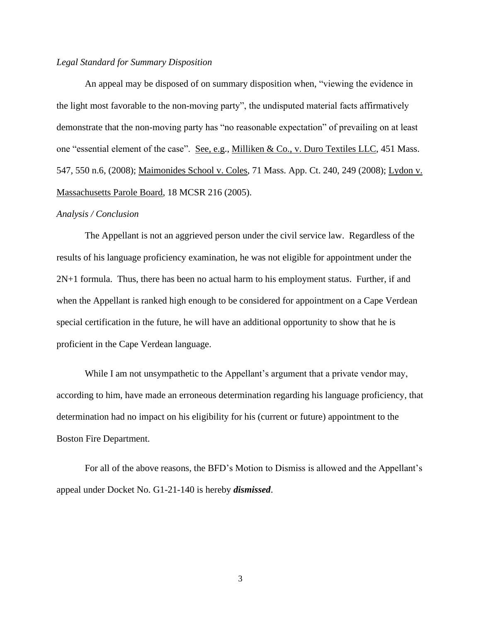## *Legal Standard for Summary Disposition*

An appeal may be disposed of on summary disposition when, "viewing the evidence in the light most favorable to the non-moving party", the undisputed material facts affirmatively demonstrate that the non-moving party has "no reasonable expectation" of prevailing on at least one "essential element of the case". See, e.g., Milliken & Co., v. Duro Textiles LLC, 451 Mass. 547, 550 n.6, (2008); Maimonides School v. Coles, 71 Mass. App. Ct. 240, 249 (2008); Lydon v. Massachusetts Parole Board, 18 MCSR 216 (2005).

#### *Analysis / Conclusion*

The Appellant is not an aggrieved person under the civil service law. Regardless of the results of his language proficiency examination, he was not eligible for appointment under the 2N+1 formula. Thus, there has been no actual harm to his employment status. Further, if and when the Appellant is ranked high enough to be considered for appointment on a Cape Verdean special certification in the future, he will have an additional opportunity to show that he is proficient in the Cape Verdean language.

While I am not unsympathetic to the Appellant's argument that a private vendor may, according to him, have made an erroneous determination regarding his language proficiency, that determination had no impact on his eligibility for his (current or future) appointment to the Boston Fire Department.

For all of the above reasons, the BFD's Motion to Dismiss is allowed and the Appellant's appeal under Docket No. G1-21-140 is hereby *dismissed*.